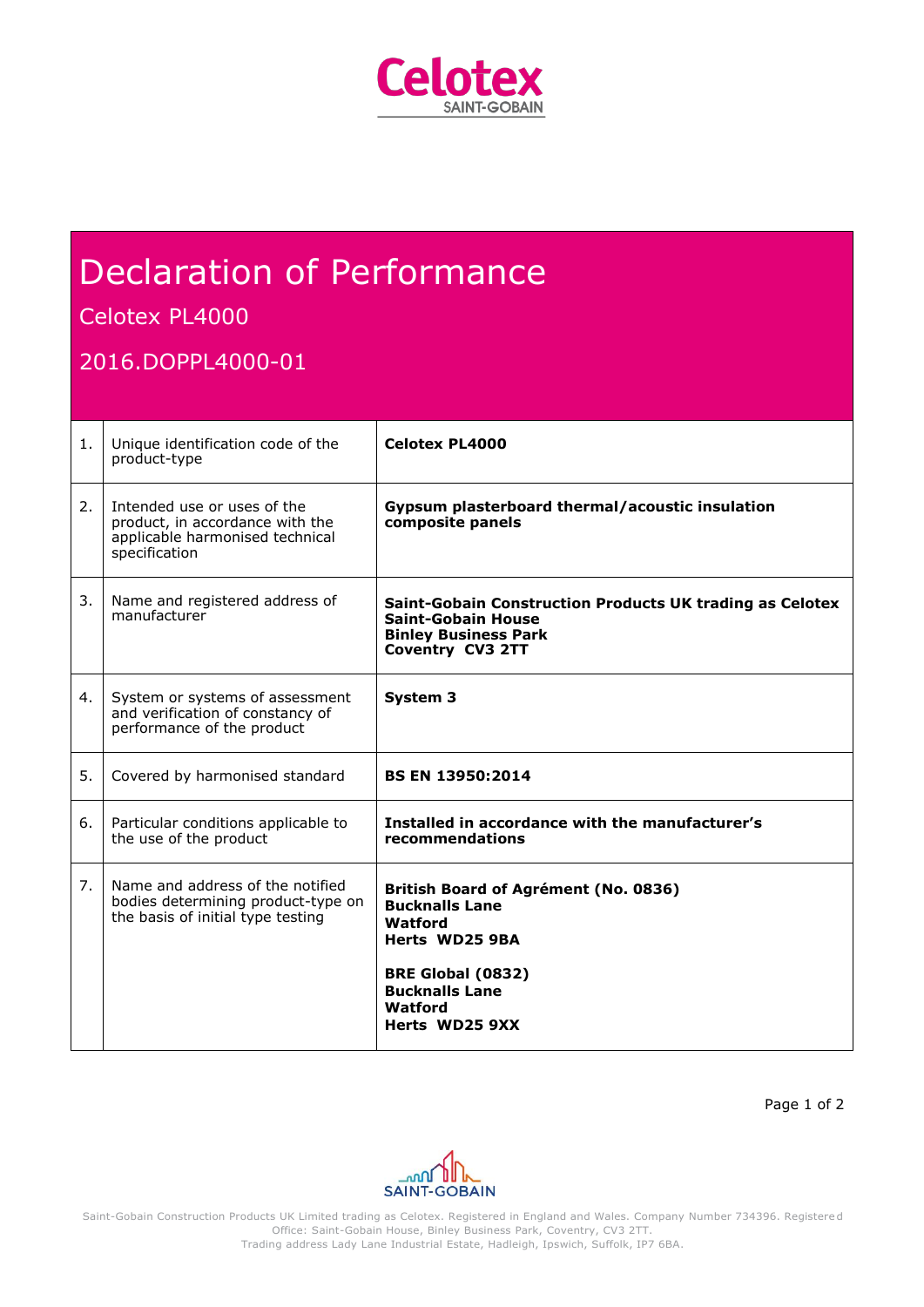

# Declaration of Performance

## Celotex PL4000

### 2016.DOPPL4000-01

| 1. | Unique identification code of the<br>product-type                                                                  | <b>Celotex PL4000</b>                                                                                                                               |
|----|--------------------------------------------------------------------------------------------------------------------|-----------------------------------------------------------------------------------------------------------------------------------------------------|
| 2. | Intended use or uses of the<br>product, in accordance with the<br>applicable harmonised technical<br>specification | Gypsum plasterboard thermal/acoustic insulation<br>composite panels                                                                                 |
| 3. | Name and registered address of<br>manufacturer                                                                     | Saint-Gobain Construction Products UK trading as Celotex<br><b>Saint-Gobain House</b><br><b>Binley Business Park</b><br><b>Coventry CV3 2TT</b>     |
| 4. | System or systems of assessment<br>and verification of constancy of<br>performance of the product                  | System 3                                                                                                                                            |
| 5. | Covered by harmonised standard                                                                                     | <b>BS EN 13950:2014</b>                                                                                                                             |
| 6. | Particular conditions applicable to<br>the use of the product                                                      | Installed in accordance with the manufacturer's<br>recommendations                                                                                  |
| 7. | Name and address of the notified<br>bodies determining product-type on<br>the basis of initial type testing        | British Board of Agrément (No. 0836)<br><b>Bucknalls Lane</b><br>Watford<br>Herts WD25 9BA<br>BRE Global (0832)<br><b>Bucknalls Lane</b><br>Watford |
|    |                                                                                                                    | Herts WD25 9XX                                                                                                                                      |

Page 1 of 2